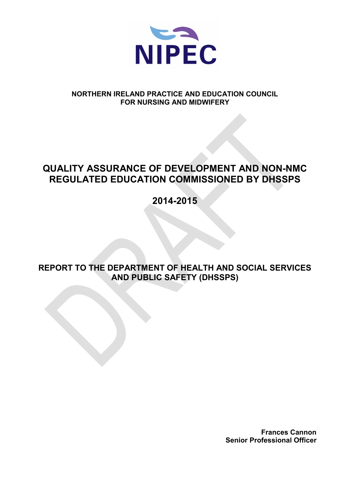

#### **NORTHERN IRELAND PRACTICE AND EDUCATION COUNCIL FOR NURSING AND MIDWIFERY**

# **QUALITY ASSURANCE OF DEVELOPMENT AND NON-NMC REGULATED EDUCATION COMMISSIONED BY DHSSPS**

**2014-2015**

**REPORT TO THE DEPARTMENT OF HEALTH AND SOCIAL SERVICES AND PUBLIC SAFETY (DHSSPS)** 

> **Frances Cannon Senior Professional Officer**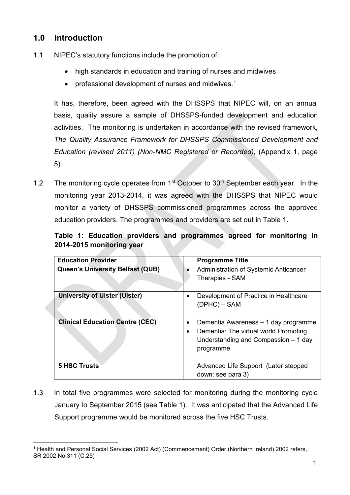## **1.0 Introduction**

- 1.1 NIPEC's statutory functions include the promotion of:
	- high standards in education and training of nurses and midwives
	- professional development of nurses and midwives.[1](#page-1-0)

It has, therefore, been agreed with the DHSSPS that NIPEC will, on an annual basis, quality assure a sample of DHSSPS-funded development and education activities. The monitoring is undertaken in accordance with the revised framework, *The Quality Assurance Framework for DHSSPS Commissioned Development and Education (revised 2011) (Non-NMC Registered or Recorded),* (Appendix 1, page 5).

1.2 The monitoring cycle operates from  $1<sup>st</sup>$  October to  $30<sup>th</sup>$  September each year. In the monitoring year 2013-2014, it was agreed with the DHSSPS that NIPEC would monitor a variety of DHSSPS commissioned programmes across the approved education providers. The programmes and providers are set out in Table 1.

**Table 1: Education providers and programmes agreed for monitoring in 2014-2015 monitoring year**

| <b>Education Provider</b>              | <b>Programme Title</b>                                                                                                                                       |
|----------------------------------------|--------------------------------------------------------------------------------------------------------------------------------------------------------------|
| Queen's University Belfast (QUB)       | Administration of Systemic Anticancer<br>Therapies - SAM                                                                                                     |
| <b>University of Ulster (Ulster)</b>   | Development of Practice in Healthcare<br>$\bullet$<br>$(DPHC) - SAM$                                                                                         |
| <b>Clinical Education Centre (CEC)</b> | Dementia Awareness – 1 day programme<br>$\bullet$<br>Dementia: The virtual world Promoting<br>$\bullet$<br>Understanding and Compassion - 1 day<br>programme |
| <b>5 HSC Trusts</b>                    | Advanced Life Support (Later stepped<br>down: see para 3)                                                                                                    |

1.3 In total five programmes were selected for monitoring during the monitoring cycle January to September 2015 (see Table 1). It was anticipated that the Advanced Life Support programme would be monitored across the five HSC Trusts.

<span id="page-1-0"></span> <sup>1</sup> Health and Personal Social Services (2002 Act) (Commencement) Order (Northern Ireland) 2002 refers, SR 2002 No 311 (C.25)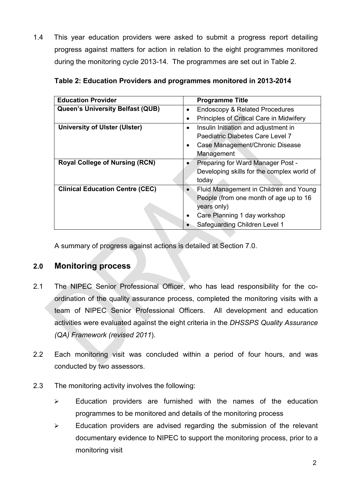1.4 This year education providers were asked to submit a progress report detailing progress against matters for action in relation to the eight programmes monitored during the monitoring cycle 2013-14. The programmes are set out in Table 2.

| <b>Education Provider</b>               | <b>Programme Title</b>                                 |
|-----------------------------------------|--------------------------------------------------------|
| <b>Queen's University Belfast (QUB)</b> | <b>Endoscopy &amp; Related Procedures</b><br>$\bullet$ |
|                                         | Principles of Critical Care in Midwifery<br>$\bullet$  |
| <b>University of Ulster (Ulster)</b>    | Insulin Initiation and adjustment in<br>$\bullet$      |
|                                         | Paediatric Diabetes Care Level 7                       |
|                                         | Case Management/Chronic Disease<br>٠                   |
|                                         | Management                                             |
| <b>Royal College of Nursing (RCN)</b>   | Preparing for Ward Manager Post -                      |
|                                         | Developing skills for the complex world of             |
|                                         | today                                                  |
| <b>Clinical Education Centre (CEC)</b>  | Fluid Management in Children and Young<br>$\bullet$    |
|                                         | People (from one month of age up to 16                 |
|                                         | years only)                                            |
|                                         | Care Planning 1 day workshop<br>$\bullet$              |
|                                         | Safeguarding Children Level 1                          |

| Table 2: Education Providers and programmes monitored in 2013-2014 |  |
|--------------------------------------------------------------------|--|
|--------------------------------------------------------------------|--|

A summary of progress against actions is detailed at Section 7.0.

## **2.0 Monitoring process**

- 2.1 The NIPEC Senior Professional Officer, who has lead responsibility for the coordination of the quality assurance process, completed the monitoring visits with a team of NIPEC Senior Professional Officers. All development and education activities were evaluated against the eight criteria in the *DHSSPS Quality Assurance (QA) Framework (revised 2011*).
- 2.2 Each monitoring visit was concluded within a period of four hours, and was conducted by two assessors.
- 2.3 The monitoring activity involves the following:
	- $\triangleright$  Education providers are furnished with the names of the education programmes to be monitored and details of the monitoring process
	- $\triangleright$  Education providers are advised regarding the submission of the relevant documentary evidence to NIPEC to support the monitoring process, prior to a monitoring visit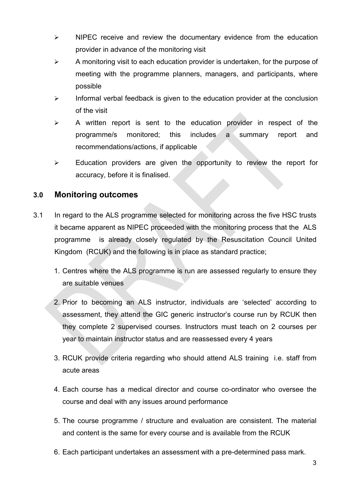- $\triangleright$  NIPEC receive and review the documentary evidence from the education provider in advance of the monitoring visit
- $\triangleright$  A monitoring visit to each education provider is undertaken, for the purpose of meeting with the programme planners, managers, and participants, where possible
- $\triangleright$  Informal verbal feedback is given to the education provider at the conclusion of the visit
- $\triangleright$  A written report is sent to the education provider in respect of the programme/s monitored; this includes a summary report and recommendations/actions, if applicable
- $\triangleright$  Education providers are given the opportunity to review the report for accuracy, before it is finalised.

#### **3.0 Monitoring outcomes**

- 3.1 In regard to the ALS programme selected for monitoring across the five HSC trusts it became apparent as NIPEC proceeded with the monitoring process that the ALS programme is already closely regulated by the Resuscitation Council United Kingdom (RCUK) and the following is in place as standard practice;
	- 1. Centres where the ALS programme is run are assessed regularly to ensure they are suitable venues
	- 2. Prior to becoming an ALS instructor, individuals are 'selected' according to assessment, they attend the GIC generic instructor's course run by RCUK then they complete 2 supervised courses. Instructors must teach on 2 courses per year to maintain instructor status and are reassessed every 4 years
	- 3. RCUK provide criteria regarding who should attend ALS training i.e. staff from acute areas
	- 4. Each course has a medical director and course co-ordinator who oversee the course and deal with any issues around performance
	- 5. The course programme / structure and evaluation are consistent. The material and content is the same for every course and is available from the RCUK
	- 6. Each participant undertakes an assessment with a pre-determined pass mark.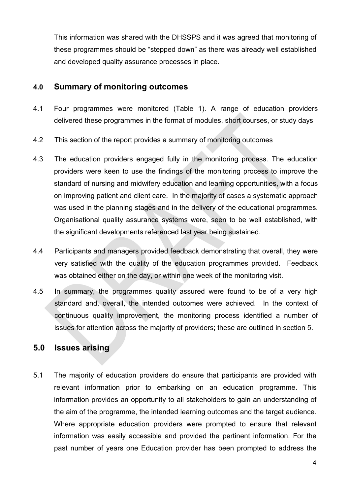This information was shared with the DHSSPS and it was agreed that monitoring of these programmes should be "stepped down" as there was already well established and developed quality assurance processes in place.

#### **4.0 Summary of monitoring outcomes**

- 4.1 Four programmes were monitored (Table 1). A range of education providers delivered these programmes in the format of modules, short courses, or study days
- 4.2 This section of the report provides a summary of monitoring outcomes
- 4.3 The education providers engaged fully in the monitoring process. The education providers were keen to use the findings of the monitoring process to improve the standard of nursing and midwifery education and learning opportunities, with a focus on improving patient and client care. In the majority of cases a systematic approach was used in the planning stages and in the delivery of the educational programmes. Organisational quality assurance systems were, seen to be well established, with the significant developments referenced last year being sustained.
- 4.4 Participants and managers provided feedback demonstrating that overall, they were very satisfied with the quality of the education programmes provided. Feedback was obtained either on the day, or within one week of the monitoring visit.
- 4.5 In summary, the programmes quality assured were found to be of a very high standard and, overall, the intended outcomes were achieved. In the context of continuous quality improvement, the monitoring process identified a number of issues for attention across the majority of providers; these are outlined in section 5.

## **5.0 Issues arising**

5.1 The majority of education providers do ensure that participants are provided with relevant information prior to embarking on an education programme. This information provides an opportunity to all stakeholders to gain an understanding of the aim of the programme, the intended learning outcomes and the target audience. Where appropriate education providers were prompted to ensure that relevant information was easily accessible and provided the pertinent information. For the past number of years one Education provider has been prompted to address the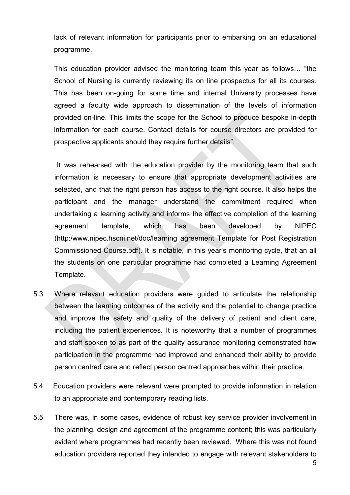lack of relevant information for participants prior to embarking on an educational programme.

This education provider advised the monitoring team this year as follows… "the School of Nursing is currently reviewing its on line prospectus for all its courses. This has been on-going for some time and internal University processes have agreed a faculty wide approach to dissemination of the levels of information provided on-line. This limits the scope for the School to produce bespoke in-depth information for each course. Contact details for course directors are provided for prospective applicants should they require further details".

 It was rehearsed with the education provider by the monitoring team that such information is necessary to ensure that appropriate development activities are selected, and that the right person has access to the right course. It also helps the participant and the manager understand the commitment required when undertaking a learning activity and informs the effective completion of the learning agreement template, which has been developed by NIPEC (http:/www.nipec.hscni.net/doc/learning agreement Template for Post Registration Commissioned Course.pdf). It is notable, in this year's monitoring cycle, that an all the students on one particular programme had completed a Learning Agreement Template.

- 5.3 Where relevant education providers were guided to articulate the relationship between the learning outcomes of the activity and the potential to change practice and improve the safety and quality of the delivery of patient and client care, including the patient experiences. It is noteworthy that a number of programmes and staff spoken to as part of the quality assurance monitoring demonstrated how participation in the programme had improved and enhanced their ability to provide person centred care and reflect person centred approaches within their practice.
- 5.4 Education providers were relevant were prompted to provide information in relation to an appropriate and contemporary reading lists.
- 5.5 There was, in some cases, evidence of robust key service provider involvement in the planning, design and agreement of the programme content; this was particularly evident where programmes had recently been reviewed. Where this was not found education providers reported they intended to engage with relevant stakeholders to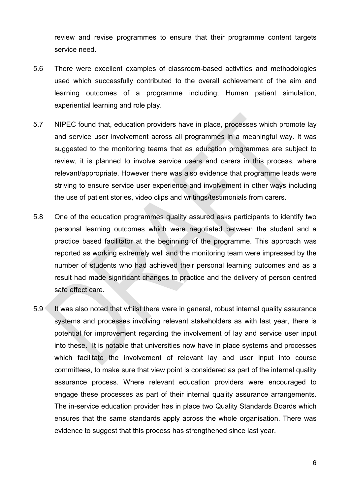review and revise programmes to ensure that their programme content targets service need.

- 5.6 There were excellent examples of classroom-based activities and methodologies used which successfully contributed to the overall achievement of the aim and learning outcomes of a programme including; Human patient simulation, experiential learning and role play.
- 5.7 NIPEC found that, education providers have in place, processes which promote lay and service user involvement across all programmes in a meaningful way. It was suggested to the monitoring teams that as education programmes are subject to review, it is planned to involve service users and carers in this process, where relevant/appropriate. However there was also evidence that programme leads were striving to ensure service user experience and involvement in other ways including the use of patient stories, video clips and writings/testimonials from carers*.*
- 5.8 One of the education programmes quality assured asks participants to identify two personal learning outcomes which were negotiated between the student and a practice based facilitator at the beginning of the programme. This approach was reported as working extremely well and the monitoring team were impressed by the number of students who had achieved their personal learning outcomes and as a result had made significant changes to practice and the delivery of person centred safe effect care.
- 5.9 It was also noted that whilst there were in general, robust internal quality assurance systems and processes involving relevant stakeholders as with last year, there is potential for improvement regarding the involvement of lay and service user input into these. It is notable that universities now have in place systems and processes which facilitate the involvement of relevant lay and user input into course committees, to make sure that view point is considered as part of the internal quality assurance process. Where relevant education providers were encouraged to engage these processes as part of their internal quality assurance arrangements. The in-service education provider has in place two Quality Standards Boards which ensures that the same standards apply across the whole organisation. There was evidence to suggest that this process has strengthened since last year.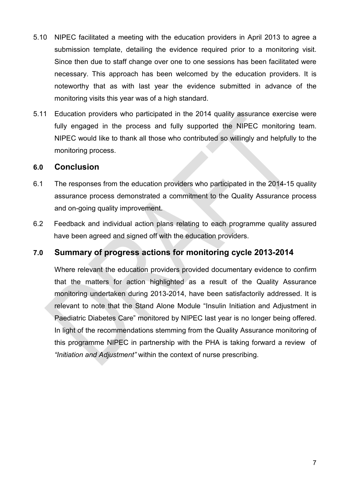- 5.10 NIPEC facilitated a meeting with the education providers in April 2013 to agree a submission template, detailing the evidence required prior to a monitoring visit. Since then due to staff change over one to one sessions has been facilitated were necessary. This approach has been welcomed by the education providers. It is noteworthy that as with last year the evidence submitted in advance of the monitoring visits this year was of a high standard.
- 5.11 Education providers who participated in the 2014 quality assurance exercise were fully engaged in the process and fully supported the NIPEC monitoring team. NIPEC would like to thank all those who contributed so willingly and helpfully to the monitoring process.

#### **6.0 Conclusion**

- 6.1 The responses from the education providers who participated in the 2014-15 quality assurance process demonstrated a commitment to the Quality Assurance process and on-going quality improvement.
- 6.2 Feedback and individual action plans relating to each programme quality assured have been agreed and signed off with the education providers.

#### **7.0 Summary of progress actions for monitoring cycle 2013-2014**

Where relevant the education providers provided documentary evidence to confirm that the matters for action highlighted as a result of the Quality Assurance monitoring undertaken during 2013-2014, have been satisfactorily addressed. It is relevant to note that the Stand Alone Module "Insulin Initiation and Adjustment in Paediatric Diabetes Care" monitored by NIPEC last year is no longer being offered. In light of the recommendations stemming from the Quality Assurance monitoring of this programme NIPEC in partnership with the PHA is taking forward a review of *"Initiation and Adjustment"* within the context of nurse prescribing.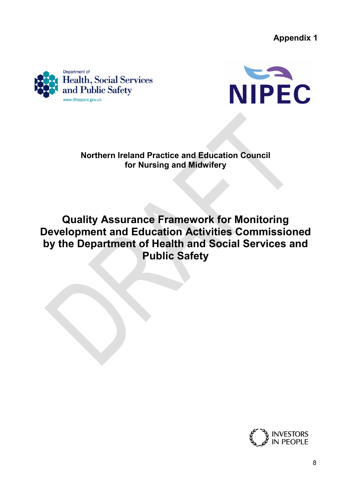**Appendix 1**





## **Northern Ireland Practice and Education Council for Nursing and Midwifery**

**Quality Assurance Framework for Monitoring Development and Education Activities Commissioned by the Department of Health and Social Services and Public Safety**

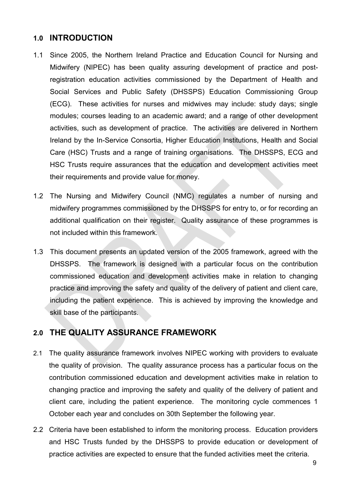#### **1.0 INTRODUCTION**

- 1.1 Since 2005, the Northern Ireland Practice and Education Council for Nursing and Midwifery (NIPEC) has been quality assuring development of practice and postregistration education activities commissioned by the Department of Health and Social Services and Public Safety (DHSSPS) Education Commissioning Group (ECG). These activities for nurses and midwives may include: study days; single modules; courses leading to an academic award; and a range of other development activities, such as development of practice. The activities are delivered in Northern Ireland by the In-Service Consortia, Higher Education Institutions, Health and Social Care (HSC) Trusts and a range of training organisations. The DHSSPS, ECG and HSC Trusts require assurances that the education and development activities meet their requirements and provide value for money.
- 1.2 The Nursing and Midwifery Council (NMC) regulates a number of nursing and midwifery programmes commissioned by the DHSSPS for entry to, or for recording an additional qualification on their register. Quality assurance of these programmes is not included within this framework.
- 1.3 This document presents an updated version of the 2005 framework, agreed with the DHSSPS. The framework is designed with a particular focus on the contribution commissioned education and development activities make in relation to changing practice and improving the safety and quality of the delivery of patient and client care, including the patient experience. This is achieved by improving the knowledge and skill base of the participants.

## **2.0 THE QUALITY ASSURANCE FRAMEWORK**

- 2.1 The quality assurance framework involves NIPEC working with providers to evaluate the quality of provision. The quality assurance process has a particular focus on the contribution commissioned education and development activities make in relation to changing practice and improving the safety and quality of the delivery of patient and client care, including the patient experience. The monitoring cycle commences 1 October each year and concludes on 30th September the following year.
- 2.2 Criteria have been established to inform the monitoring process. Education providers and HSC Trusts funded by the DHSSPS to provide education or development of practice activities are expected to ensure that the funded activities meet the criteria.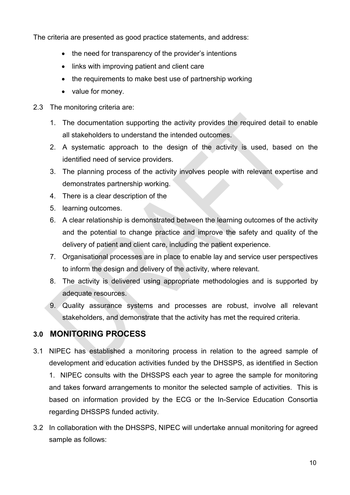The criteria are presented as good practice statements, and address:

- the need for transparency of the provider's intentions
- links with improving patient and client care
- the requirements to make best use of partnership working
- value for money.
- 2.3 The monitoring criteria are:
	- 1. The documentation supporting the activity provides the required detail to enable all stakeholders to understand the intended outcomes.
	- 2. A systematic approach to the design of the activity is used, based on the identified need of service providers.
	- 3. The planning process of the activity involves people with relevant expertise and demonstrates partnership working.
	- 4. There is a clear description of the
	- 5. learning outcomes.
	- 6. A clear relationship is demonstrated between the learning outcomes of the activity and the potential to change practice and improve the safety and quality of the delivery of patient and client care, including the patient experience.
	- 7. Organisational processes are in place to enable lay and service user perspectives to inform the design and delivery of the activity, where relevant.
	- 8. The activity is delivered using appropriate methodologies and is supported by adequate resources.
	- 9. Quality assurance systems and processes are robust, involve all relevant stakeholders, and demonstrate that the activity has met the required criteria.

## **3.0 MONITORING PROCESS**

- 3.1 NIPEC has established a monitoring process in relation to the agreed sample of development and education activities funded by the DHSSPS, as identified in Section 1. NIPEC consults with the DHSSPS each year to agree the sample for monitoring and takes forward arrangements to monitor the selected sample of activities. This is based on information provided by the ECG or the In-Service Education Consortia regarding DHSSPS funded activity.
- 3.2 In collaboration with the DHSSPS, NIPEC will undertake annual monitoring for agreed sample as follows: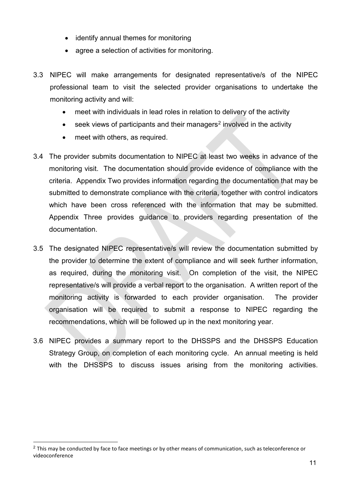- identify annual themes for monitoring
- agree a selection of activities for monitoring.
- 3.3 NIPEC will make arrangements for designated representative/s of the NIPEC professional team to visit the selected provider organisations to undertake the monitoring activity and will:
	- meet with individuals in lead roles in relation to delivery of the activity
	- $\bullet$  seek views of participants and their managers<sup>[2](#page-11-0)</sup> involved in the activity
	- meet with others, as required.
- 3.4 The provider submits documentation to NIPEC at least two weeks in advance of the monitoring visit. The documentation should provide evidence of compliance with the criteria. Appendix Two provides information regarding the documentation that may be submitted to demonstrate compliance with the criteria, together with control indicators which have been cross referenced with the information that may be submitted. Appendix Three provides guidance to providers regarding presentation of the documentation.
- 3.5 The designated NIPEC representative/s will review the documentation submitted by the provider to determine the extent of compliance and will seek further information, as required, during the monitoring visit. On completion of the visit, the NIPEC representative/s will provide a verbal report to the organisation. A written report of the monitoring activity is forwarded to each provider organisation. The provider organisation will be required to submit a response to NIPEC regarding the recommendations, which will be followed up in the next monitoring year.
- 3.6 NIPEC provides a summary report to the DHSSPS and the DHSSPS Education Strategy Group, on completion of each monitoring cycle. An annual meeting is held with the DHSSPS to discuss issues arising from the monitoring activities.

<span id="page-11-0"></span><sup>&</sup>lt;sup>2</sup> This may be conducted by face to face meetings or by other means of communication, such as teleconference or videoconference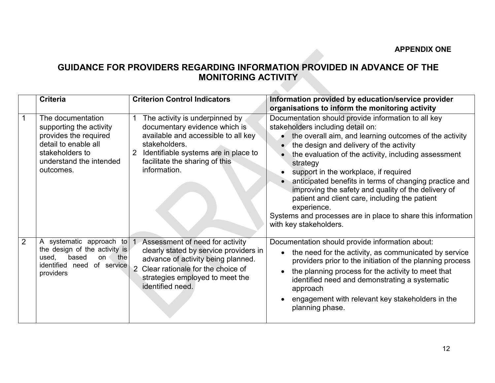## **GUIDANCE FOR PROVIDERS REGARDING INFORMATION PROVIDED IN ADVANCE OF THE MONITORING ACTIVITY**

 $\mathcal{L}_{\mathcal{A}}$ 

|                | <b>Criteria</b>                                                                                                                                          | <b>Criterion Control Indicators</b>                                                                                                                                                                                           | Information provided by education/service provider<br>organisations to inform the monitoring activity                                                                                                                                                                                                                                                                                                                                                                                                                                                                                               |
|----------------|----------------------------------------------------------------------------------------------------------------------------------------------------------|-------------------------------------------------------------------------------------------------------------------------------------------------------------------------------------------------------------------------------|-----------------------------------------------------------------------------------------------------------------------------------------------------------------------------------------------------------------------------------------------------------------------------------------------------------------------------------------------------------------------------------------------------------------------------------------------------------------------------------------------------------------------------------------------------------------------------------------------------|
|                | The documentation<br>supporting the activity<br>provides the required<br>detail to enable all<br>stakeholders to<br>understand the intended<br>outcomes. | The activity is underpinned by<br>documentary evidence which is<br>available and accessible to all key<br>stakeholders.<br>Identifiable systems are in place to<br>2<br>facilitate the sharing of this<br>information.        | Documentation should provide information to all key<br>stakeholders including detail on:<br>the overall aim, and learning outcomes of the activity<br>$\bullet$<br>the design and delivery of the activity<br>the evaluation of the activity, including assessment<br>strategy<br>support in the workplace, if required<br>anticipated benefits in terms of changing practice and<br>improving the safety and quality of the delivery of<br>patient and client care, including the patient<br>experience.<br>Systems and processes are in place to share this information<br>with key stakeholders. |
| $\overline{2}$ | A systematic approach to<br>the design of the activity is<br>based<br>the<br>used,<br>on<br>identified<br>of service<br>need<br>providers                | Assessment of need for activity<br>clearly stated by service providers in<br>advance of activity being planned.<br>Clear rationale for the choice of<br>$\overline{2}$<br>strategies employed to meet the<br>identified need. | Documentation should provide information about:<br>the need for the activity, as communicated by service<br>$\bullet$<br>providers prior to the initiation of the planning process<br>the planning process for the activity to meet that<br>identified need and demonstrating a systematic<br>approach<br>engagement with relevant key stakeholders in the<br>planning phase.                                                                                                                                                                                                                       |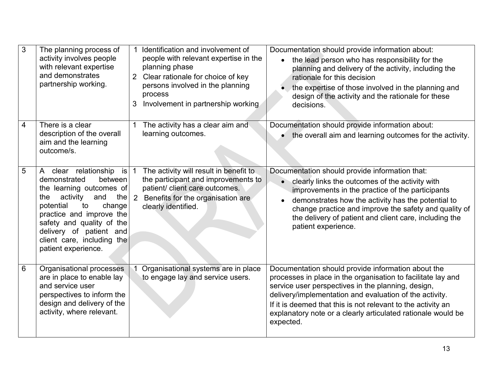| 3 | The planning process of<br>activity involves people<br>with relevant expertise<br>and demonstrates<br>partnership working.                                                                                                                                                                             | Identification and involvement of<br>people with relevant expertise in the<br>planning phase<br>Clear rationale for choice of key<br>$\overline{2}$<br>persons involved in the planning<br>process<br>Involvement in partnership working<br>3 | Documentation should provide information about:<br>the lead person who has responsibility for the<br>$\bullet$<br>planning and delivery of the activity, including the<br>rationale for this decision<br>the expertise of those involved in the planning and<br>design of the activity and the rationale for these<br>decisions.                                                 |
|---|--------------------------------------------------------------------------------------------------------------------------------------------------------------------------------------------------------------------------------------------------------------------------------------------------------|-----------------------------------------------------------------------------------------------------------------------------------------------------------------------------------------------------------------------------------------------|----------------------------------------------------------------------------------------------------------------------------------------------------------------------------------------------------------------------------------------------------------------------------------------------------------------------------------------------------------------------------------|
| 4 | There is a clear<br>description of the overall<br>aim and the learning<br>outcome/s.                                                                                                                                                                                                                   | The activity has a clear aim and<br>learning outcomes.                                                                                                                                                                                        | Documentation should provide information about:<br>• the overall aim and learning outcomes for the activity.                                                                                                                                                                                                                                                                     |
| 5 | clear relationship<br>is<br>$\mathsf{A}$<br>demonstrated<br>between<br>the learning outcomes of<br>activity<br>and<br>the<br>the<br>potential<br>change<br>to<br>practice and improve the<br>safety and quality of the<br>delivery of patient and<br>client care, including the<br>patient experience. | The activity will result in benefit to<br>$\mathbf{1}$<br>the participant and improvements to<br>patient/ client care outcomes.<br>2<br>Benefits for the organisation are<br>clearly identified.                                              | Documentation should provide information that:<br>clearly links the outcomes of the activity with<br>improvements in the practice of the participants<br>demonstrates how the activity has the potential to<br>change practice and improve the safety and quality of<br>the delivery of patient and client care, including the<br>patient experience.                            |
| 6 | Organisational processes<br>are in place to enable lay<br>and service user<br>perspectives to inform the<br>design and delivery of the<br>activity, where relevant.                                                                                                                                    | Organisational systems are in place<br>to engage lay and service users.                                                                                                                                                                       | Documentation should provide information about the<br>processes in place in the organisation to facilitate lay and<br>service user perspectives in the planning, design,<br>delivery/implementation and evaluation of the activity.<br>If it is deemed that this is not relevant to the activity an<br>explanatory note or a clearly articulated rationale would be<br>expected. |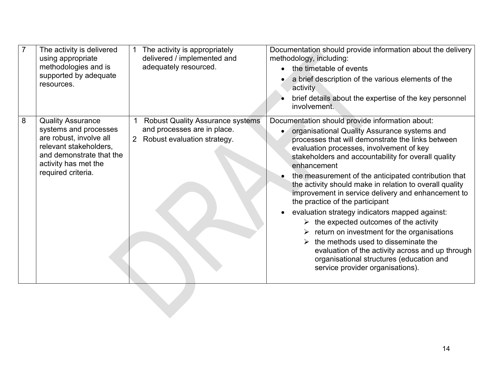|   | The activity is delivered<br>using appropriate<br>methodologies and is<br>supported by adequate<br>resources.                                                                    | The activity is appropriately<br>delivered / implemented and<br>adequately resourced.                                          | Documentation should provide information about the delivery<br>methodology, including:<br>the timetable of events<br>a brief description of the various elements of the<br>activity<br>brief details about the expertise of the key personnel<br>involvement.                                                                                                                                                                                                                                                                                                                                                                                                                                                                                                                                                              |
|---|----------------------------------------------------------------------------------------------------------------------------------------------------------------------------------|--------------------------------------------------------------------------------------------------------------------------------|----------------------------------------------------------------------------------------------------------------------------------------------------------------------------------------------------------------------------------------------------------------------------------------------------------------------------------------------------------------------------------------------------------------------------------------------------------------------------------------------------------------------------------------------------------------------------------------------------------------------------------------------------------------------------------------------------------------------------------------------------------------------------------------------------------------------------|
| 8 | <b>Quality Assurance</b><br>systems and processes<br>are robust, involve all<br>relevant stakeholders,<br>and demonstrate that the<br>activity has met the<br>required criteria. | <b>Robust Quality Assurance systems</b><br>and processes are in place.<br>Robust evaluation strategy.<br>$\mathbf{2}^{\prime}$ | Documentation should provide information about:<br>organisational Quality Assurance systems and<br>processes that will demonstrate the links between<br>evaluation processes, involvement of key<br>stakeholders and accountability for overall quality<br>enhancement<br>the measurement of the anticipated contribution that<br>the activity should make in relation to overall quality<br>improvement in service delivery and enhancement to<br>the practice of the participant<br>evaluation strategy indicators mapped against:<br>the expected outcomes of the activity<br>return on investment for the organisations<br>the methods used to disseminate the<br>$\triangleright$<br>evaluation of the activity across and up through<br>organisational structures (education and<br>service provider organisations). |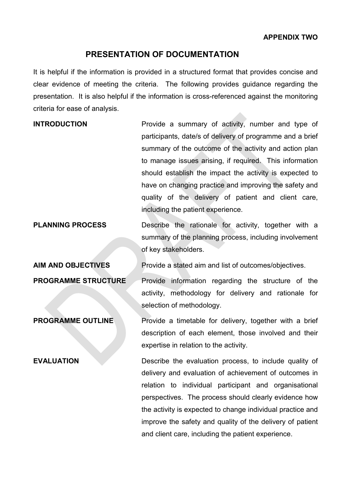#### **PRESENTATION OF DOCUMENTATION**

It is helpful if the information is provided in a structured format that provides concise and clear evidence of meeting the criteria. The following provides guidance regarding the presentation. It is also helpful if the information is cross-referenced against the monitoring criteria for ease of analysis.

| <b>INTRODUCTION</b> | Provide a summary of activity, number and type of         |
|---------------------|-----------------------------------------------------------|
|                     | participants, date/s of delivery of programme and a brief |
|                     | summary of the outcome of the activity and action plan    |
|                     | to manage issues arising, if required. This information   |
|                     | should establish the impact the activity is expected to   |
|                     | have on changing practice and improving the safety and    |
|                     | quality of the delivery of patient and client care,       |
|                     | including the patient experience.                         |

# **PLANNING PROCESS** Describe the rationale for activity, together with a summary of the planning process, including involvement of key stakeholders.

**AIM AND OBJECTIVES** Provide a stated aim and list of outcomes/objectives.

**PROGRAMME STRUCTURE** Provide information regarding the structure of the activity, methodology for delivery and rationale for selection of methodology.

**PROGRAMME OUTLINE** Provide a timetable for delivery, together with a brief description of each element, those involved and their expertise in relation to the activity.

**EVALUATION** Describe the evaluation process, to include quality of delivery and evaluation of achievement of outcomes in relation to individual participant and organisational perspectives. The process should clearly evidence how the activity is expected to change individual practice and improve the safety and quality of the delivery of patient and client care, including the patient experience.